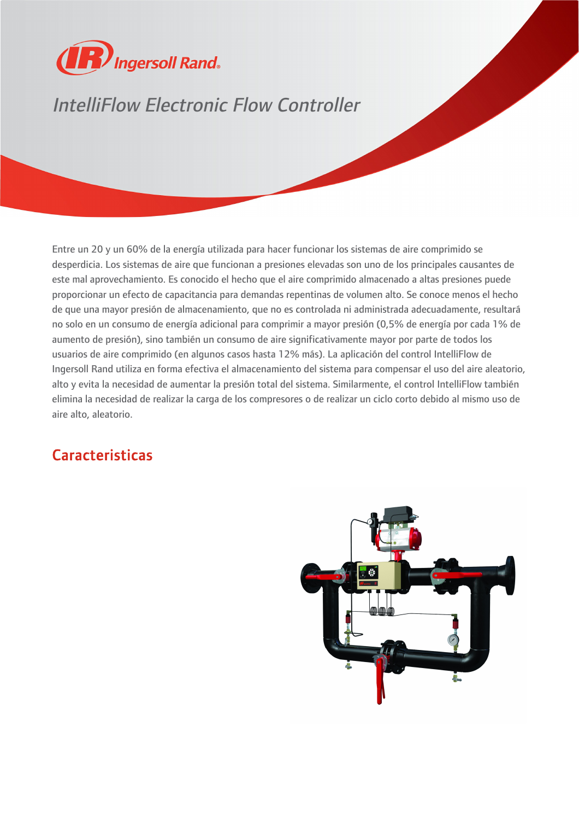

## IntelliFlow Electronic Flow Controller

Entre un 20 y un 60% de la energía utilizada para hacer funcionar los sistemas de aire comprimido se desperdicia. Los sistemas de aire que funcionan a presiones elevadas son uno de los principales causantes de este mal aprovechamiento. Es conocido el hecho que el aire comprimido almacenado a altas presiones puede proporcionar un efecto de capacitancia para demandas repentinas de volumen alto. Se conoce menos el hecho de que una mayor presión de almacenamiento, que no es controlada ni administrada adecuadamente, resultará no solo en un consumo de energía adicional para comprimir a mayor presión (0,5% de energía por cada 1% de aumento de presión), sino también un consumo de aire significativamente mayor por parte de todos los usuarios de aire comprimido (en algunos casos hasta 12% más). La aplicación del control IntelliFlow de Ingersoll Rand utiliza en forma efectiva el almacenamiento del sistema para compensar el uso del aire aleatorio, alto y evita la necesidad de aumentar la presión total del sistema. Similarmente, el control IntelliFlow también elimina la necesidad de realizar la carga de los compresores o de realizar un ciclo corto debido al mismo uso de aire alto, aleatorio.

## Caracteristicas

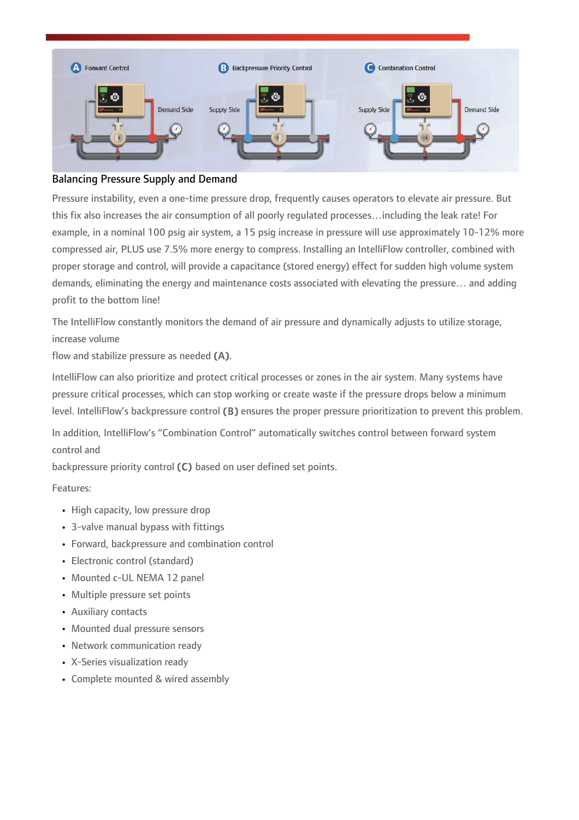

## Balancing Pressure Supply and Demand

Pressure instability, even a one-time pressure drop, frequently causes operators to elevate air pressure. But this fix also increases the air consumption of all poorly regulated processes…including the leak rate! For example, in a nominal 100 psig air system, a 15 psig increase in pressure will use approximately 10-12% more compressed air, PLUS use 7.5% more energy to compress. Installing an IntelliFlow controller, combined with proper storage and control, will provide a capacitance (stored energy) effect for sudden high volume system demands, eliminating the energy and maintenance costs associated with elevating the pressure… and adding profit to the bottom line!

The IntelliFlow constantly monitors the demand of air pressure and dynamically adjusts to utilize storage, increase volume

flow and stabilize pressure as needed (A).

IntelliFlow can also prioritize and protect critical processes or zones in the air system. Many systems have pressure critical processes, which can stop working or create waste if the pressure drops below a minimum level. IntelliFlow's backpressure control (B) ensures the proper pressure prioritization to prevent this problem.

In addition, IntelliFlow's "Combination Control" automatically switches control between forward system control and

backpressure priority control (C) based on user defined set points.

Features:

- High capacity, low pressure drop
- 3-valve manual bypass with fittings
- Forward, backpressure and combination control
- Electronic control (standard)
- Mounted c-UL NEMA 12 panel
- Multiple pressure set points
- Auxiliary contacts
- Mounted dual pressure sensors
- Network communication ready
- X-Series visualization ready
- Complete mounted & wired assembly